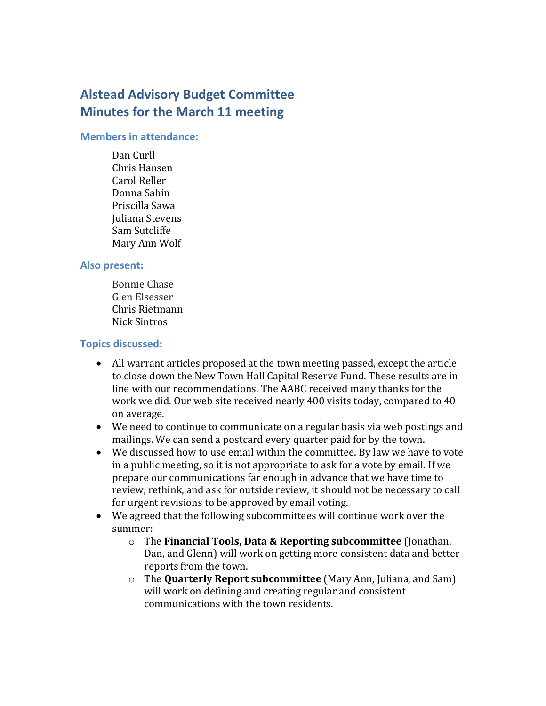# **Alstead Advisory Budget Committee Minutes for the March 11 meeting**

#### **Members in attendance:**

Dan Curll Chris Hansen Carol Reller Donna Sabin Priscilla Sawa Juliana Stevens Sam Sutcliffe Mary Ann Wolf

## **Also present:**

Bonnie Chase Glen Elsesser Chris Rietmann Nick Sintros

## **Topics discussed:**

- All warrant articles proposed at the town meeting passed, except the article to close down the New Town Hall Capital Reserve Fund. These results are in line with our recommendations. The AABC received many thanks for the work we did. Our web site received nearly 400 visits today, compared to 40 on average.
- We need to continue to communicate on a regular basis via web postings and mailings. We can send a postcard every quarter paid for by the town.
- We discussed how to use email within the committee. By law we have to vote in a public meeting, so it is not appropriate to ask for a vote by email. If we prepare our communications far enough in advance that we have time to review, rethink, and ask for outside review, it should not be necessary to call for urgent revisions to be approved by email voting.
- We agreed that the following subcommittees will continue work over the summer:
	- o The **Financial Tools, Data & Reporting subcommittee** (Jonathan, Dan, and Glenn) will work on getting more consistent data and better reports from the town.
	- o The **Quarterly Report subcommittee** (Mary Ann, Juliana, and Sam) will work on defining and creating regular and consistent communications with the town residents.